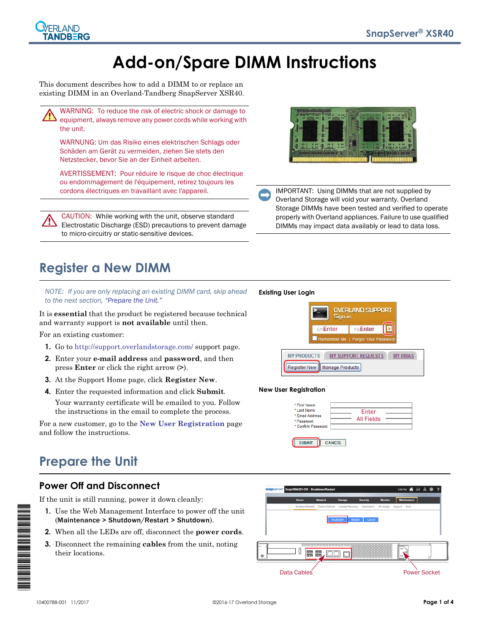# **Add-on/Spare DIMM Instructions**

This document describes how to add a DIMM to or replace an existing DIMM in an Overland-Tandberg SnapServer XSR40.



WARNING: To reduce the risk of electric shock or damage to equipment, always remove any power cords while working with the unit.

WARNUNG: Um das Risiko eines elektrischen Schlags oder Schäden am Gerät zu vermeiden, ziehen Sie stets den Netzstecker, bevor Sie an der Einheit arbeiten.

AVERTISSEMENT: Pour réduire le risque de choc électrique ou endommagement de l'équipement, retirez toujours les cordons électriques en travaillant avec l'appareil.

CAUTION: While working with the unit, observe standard Electrostatic Discharge (ESD) precautions to prevent damage to micro-circuitry or static-sensitive devices.



IMPORTANT: Using DIMMs that are not supplied by Overland Storage will void your warranty. Overland Storage DIMMs have been tested and verified to operate properly with Overland appliances. Failure to use qualified DIMMs may impact data availably or lead to data loss.

# **Register a New DIMM**

*NOTE: If you are only replacing an existing DIMM card, skip ahead to the next section, ["Prepare the Unit."](#page-0-0)*

It is **essential** that the product be registered because technical and warranty support is **not available** until then.

For an existing customer:

- **1.** Go to<http://support.overlandstorage.com/> support page.
- **2.** Enter your **e-mail address** and **password**, and then press **Enter** or click the right arrow (**>**).
- **3.** At the Support Home page, click **Register New**.
- **4.** Enter the requested information and click **Submit**.

Your warranty certificate will be emailed to you. Follow the instructions in the email to complete the process.

For a new customer, go to the **[New User Registration](http://support.overlandstorage.com/touchpoint/registration/reg.aspx)** page and follow the instructions.

## <span id="page-0-0"></span>**Prepare the Unit**

### **Power Off and Disconnect**

If the unit is still running, power it down cleanly:

- **1.** Use the Web Management Interface to power off the unit (Maintenance > Shutdown/Restart > Shutdown).
- **2.** When all the LEDs are off, disconnect the **power cords**.
- **3.** Disconnect the remaining **cables** from the unit, noting their locations.

#### **Existing User Login**



#### **New User Registration**

| * First Name<br>* Last Name<br>* Email Address<br>* Password | Enter<br><b>All Fields</b> |  |
|--------------------------------------------------------------|----------------------------|--|
| * Confirm Password                                           |                            |  |

SUBMIT CANCEL



\*10400788-001\*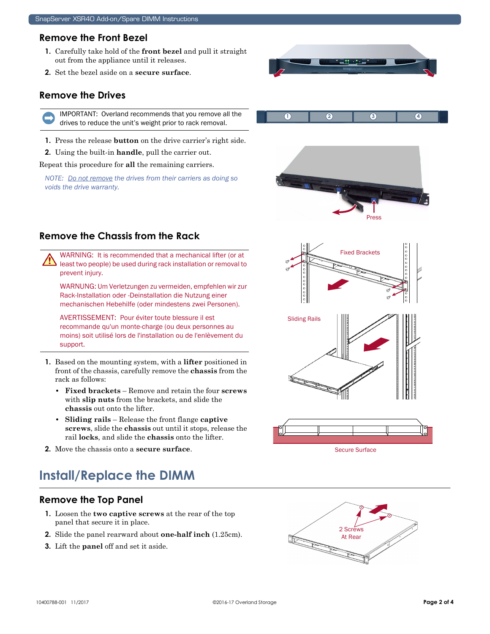#### **Remove the Front Bezel**

- **1.** Carefully take hold of the **front bezel** and pull it straight out from the appliance until it releases.
- **2.** Set the bezel aside on a **secure surface**.

#### **Remove the Drives**

IMPORTANT: Overland recommends that you remove all the drives to reduce the unit's weight prior to rack removal.

- **1.** Press the release **button** on the drive carrier's right side.
- **2.** Using the built-in **handle**, pull the carrier out.

Repeat this procedure for **all** the remaining carriers.

*NOTE: Do not remove the drives from their carriers as doing so voids the drive warranty.*







Fixed Brackets

Sliding Rails

### **Remove the Chassis from the Rack**

WARNING: It is recommended that a mechanical lifter (or at least two people) be used during rack installation or removal to prevent injury.

WARNUNG: Um Verletzungen zu vermeiden, empfehlen wir zur Rack-Installation oder -Deinstallation die Nutzung einer mechanischen Hebehilfe (oder mindestens zwei Personen).

AVERTISSEMENT: Pour éviter toute blessure il est recommande qu'un monte-charge (ou deux personnes au moins) soit utilisé lors de l'installation ou de l'enlèvement du support.

- **1.** Based on the mounting system, with a **lifter** positioned in front of the chassis, carefully remove the **chassis** from the rack as follows:
	- **Fixed brackets** Remove and retain the four **screws** with **slip nuts** from the brackets, and slide the **chassis** out onto the lifter.
	- **Sliding rails** Release the front flange **captive screws**, slide the **chassis** out until it stops, release the rail **locks**, and slide the **chassis** onto the lifter.
- **2.** Move the chassis onto a **secure surface**.

# **Install/Replace the DIMM**

#### **Remove the Top Panel**

- **1.** Loosen the **two captive screws** at the rear of the top panel that secure it in place.
- **2.** Slide the panel rearward about **one-half inch** (1.25cm).
- **3.** Lift the **panel** off and set it aside.



Secure Surface

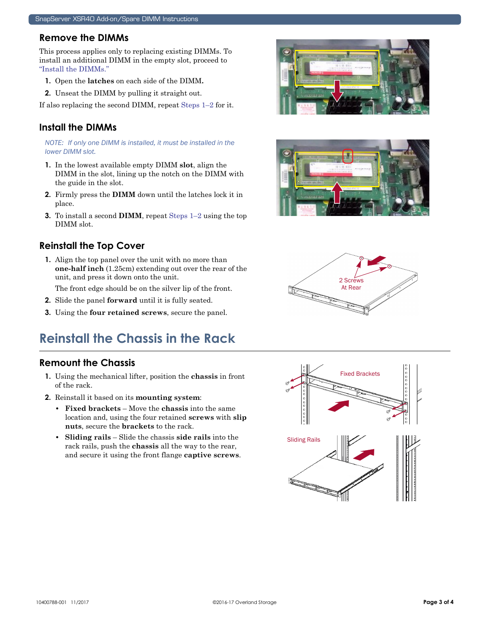#### **Remove the DIMMs**

This process applies only to replacing existing DIMMs. To install an additional DIMM in the empty slot, proceed to ["Install the DIMMs."](#page-2-0)

- <span id="page-2-1"></span>**1.** Open the **latches** on each side of the DIMM**.**
- <span id="page-2-2"></span>**2.** Unseat the DIMM by pulling it straight out.

If also replacing the second DIMM, repeat [Steps 1–](#page-2-1)[2](#page-2-2) for it.

#### <span id="page-2-0"></span>**Install the DIMMs**

*NOTE: If only one DIMM is installed, it must be installed in the lower DIMM slot.*

- <span id="page-2-3"></span>**1.** In the lowest available empty DIMM **slot**, align the DIMM in the slot, lining up the notch on the DIMM with the guide in the slot.
- <span id="page-2-4"></span>**2.** Firmly press the **DIMM** down until the latches lock it in place.
- **3.** To install a second **DIMM**, repeat [Steps 1–](#page-2-3)[2](#page-2-4) using the top DIMM slot.

### **Reinstall the Top Cover**

**1.** Align the top panel over the unit with no more than **one-half inch** (1.25cm) extending out over the rear of the unit, and press it down onto the unit.

The front edge should be on the silver lip of the front.

- **2.** Slide the panel **forward** until it is fully seated.
- **3.** Using the **four retained screws**, secure the panel.

## **Reinstall the Chassis in the Rack**

#### **Remount the Chassis**

- **1.** Using the mechanical lifter, position the **chassis** in front of the rack.
- **2.** Reinstall it based on its **mounting system**:
	- **Fixed brackets** Move the **chassis** into the same location and, using the four retained **screws** with **slip nuts**, secure the **brackets** to the rack.
	- **Sliding rails** Slide the chassis **side rails** into the rack rails, push the **chassis** all the way to the rear, and secure it using the front flange **captive screws**.